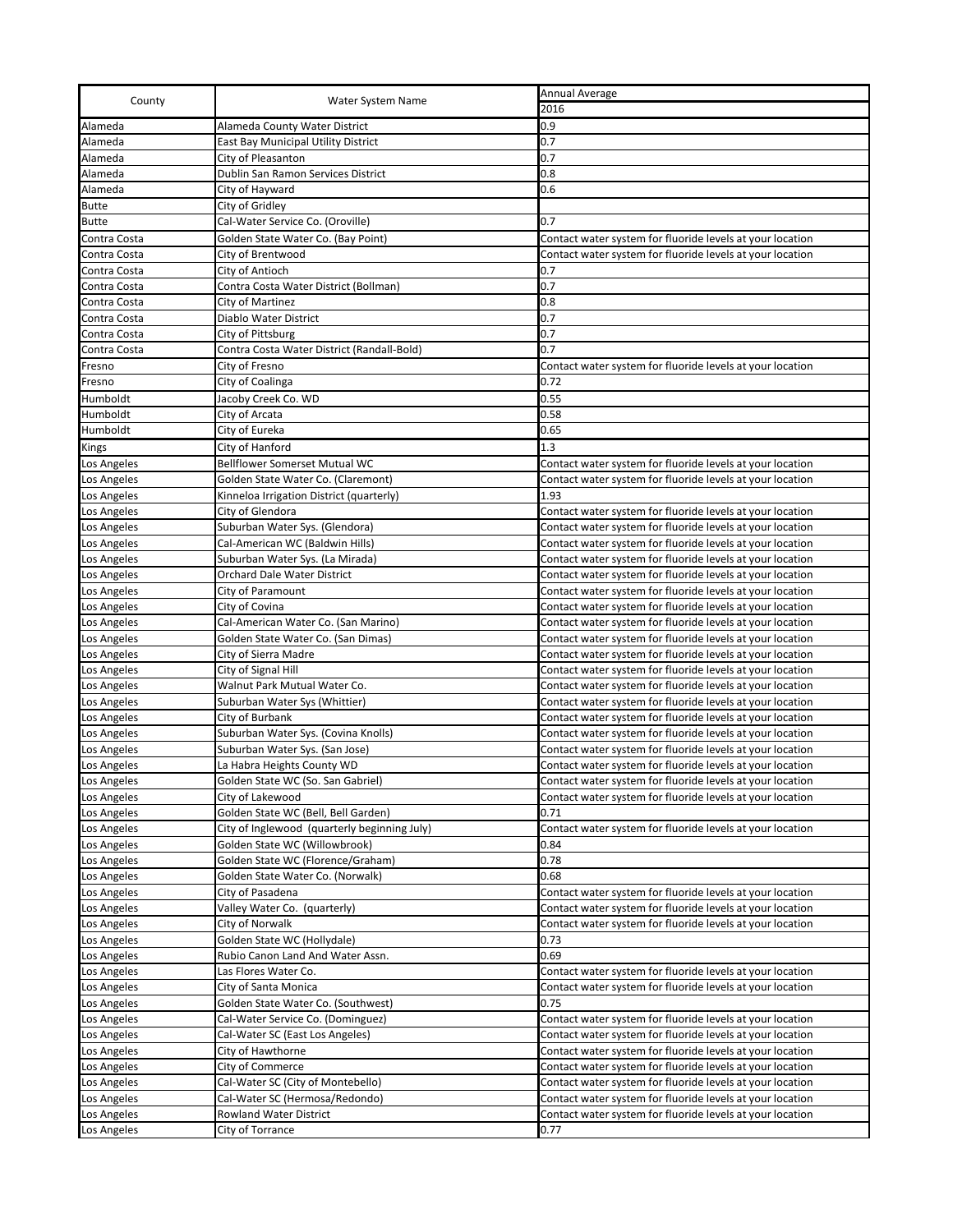| County                     | Water System Name                                                             | Annual Average                                                                                                         |
|----------------------------|-------------------------------------------------------------------------------|------------------------------------------------------------------------------------------------------------------------|
|                            |                                                                               | 2016                                                                                                                   |
| Alameda                    | Alameda County Water District                                                 | 0.9                                                                                                                    |
| Alameda                    | East Bay Municipal Utility District                                           | 0.7                                                                                                                    |
| Alameda                    | City of Pleasanton                                                            | 0.7                                                                                                                    |
| Alameda                    | Dublin San Ramon Services District                                            | 0.8                                                                                                                    |
| Alameda                    | City of Hayward                                                               | 0.6                                                                                                                    |
| <b>Butte</b>               | City of Gridley                                                               |                                                                                                                        |
| <b>Butte</b>               | Cal-Water Service Co. (Oroville)                                              | 0.7                                                                                                                    |
| Contra Costa               | Golden State Water Co. (Bay Point)                                            | Contact water system for fluoride levels at your location                                                              |
| Contra Costa               | City of Brentwood                                                             | Contact water system for fluoride levels at your location                                                              |
| Contra Costa               | City of Antioch                                                               | 0.7                                                                                                                    |
| Contra Costa               | Contra Costa Water District (Bollman)                                         | 0.7                                                                                                                    |
| Contra Costa               | City of Martinez                                                              | 0.8                                                                                                                    |
| Contra Costa               | Diablo Water District                                                         | 0.7                                                                                                                    |
| Contra Costa               | City of Pittsburg                                                             | 0.7                                                                                                                    |
| Contra Costa               | Contra Costa Water District (Randall-Bold)                                    | 0.7                                                                                                                    |
| Fresno                     | City of Fresno                                                                | Contact water system for fluoride levels at your location                                                              |
| Fresno                     | City of Coalinga                                                              | 0.72                                                                                                                   |
| Humboldt                   | Jacoby Creek Co. WD                                                           | 0.55                                                                                                                   |
| Humboldt                   | City of Arcata                                                                | 0.58                                                                                                                   |
| Humboldt                   | City of Eureka                                                                | 0.65                                                                                                                   |
| Kings                      | City of Hanford                                                               | 1.3                                                                                                                    |
| Los Angeles                | <b>Bellflower Somerset Mutual WC</b>                                          | Contact water system for fluoride levels at your location                                                              |
| Los Angeles                | Golden State Water Co. (Claremont)                                            | Contact water system for fluoride levels at your location                                                              |
| Los Angeles                |                                                                               | 1.93                                                                                                                   |
| Los Angeles                | Kinneloa Irrigation District (quarterly)<br>City of Glendora                  | Contact water system for fluoride levels at your location                                                              |
| Los Angeles                | Suburban Water Sys. (Glendora)                                                | Contact water system for fluoride levels at your location                                                              |
|                            | Cal-American WC (Baldwin Hills)                                               | Contact water system for fluoride levels at your location                                                              |
| Los Angeles                |                                                                               |                                                                                                                        |
| Los Angeles                | Suburban Water Sys. (La Mirada)<br>Orchard Dale Water District                | Contact water system for fluoride levels at your location                                                              |
| Los Angeles<br>Los Angeles | City of Paramount                                                             | Contact water system for fluoride levels at your location<br>Contact water system for fluoride levels at your location |
|                            | City of Covina                                                                |                                                                                                                        |
| Los Angeles                | Cal-American Water Co. (San Marino)                                           | Contact water system for fluoride levels at your location                                                              |
| Los Angeles                |                                                                               | Contact water system for fluoride levels at your location                                                              |
| Los Angeles                | Golden State Water Co. (San Dimas)                                            | Contact water system for fluoride levels at your location                                                              |
| Los Angeles                | City of Sierra Madre                                                          | Contact water system for fluoride levels at your location                                                              |
| Los Angeles                | City of Signal Hill<br>Walnut Park Mutual Water Co.                           | Contact water system for fluoride levels at your location                                                              |
| Los Angeles                | Suburban Water Sys (Whittier)                                                 | Contact water system for fluoride levels at your location                                                              |
| Los Angeles                |                                                                               | Contact water system for fluoride levels at your location<br>Contact water system for fluoride levels at your location |
| Los Angeles                | City of Burbank                                                               | Contact water system for fluoride levels at your location                                                              |
| Los Angeles                | Suburban Water Sys. (Covina Knolls)                                           |                                                                                                                        |
| Los Angeles                | Suburban Water Sys. (San Jose)                                                | Contact water system for fluoride levels at your location                                                              |
| Los Angeles                | La Habra Heights County WD                                                    | Contact water system for fluoride levels at your location                                                              |
| Los Angeles                | Golden State WC (So. San Gabriel)                                             | Contact water system for fluoride levels at your location                                                              |
| Los Angeles                | City of Lakewood                                                              | Contact water system for fluoride levels at your location                                                              |
| Los Angeles                | Golden State WC (Bell, Bell Garden)                                           | 0.71<br>Contact water system for fluoride levels at your location                                                      |
| Los Angeles                | City of Inglewood (quarterly beginning July)<br>Golden State WC (Willowbrook) | 0.84                                                                                                                   |
| Los Angeles                |                                                                               |                                                                                                                        |
| Los Angeles                | Golden State WC (Florence/Graham)                                             | 0.78<br>0.68                                                                                                           |
| Los Angeles                | Golden State Water Co. (Norwalk)                                              |                                                                                                                        |
| Los Angeles                | City of Pasadena                                                              | Contact water system for fluoride levels at your location                                                              |
| Los Angeles                | Valley Water Co. (quarterly)                                                  | Contact water system for fluoride levels at your location                                                              |
| Los Angeles                | City of Norwalk                                                               | Contact water system for fluoride levels at your location                                                              |
| Los Angeles                | Golden State WC (Hollydale)                                                   | 0.73                                                                                                                   |
| Los Angeles                | Rubio Canon Land And Water Assn.                                              | 0.69                                                                                                                   |
| Los Angeles                | Las Flores Water Co.                                                          | Contact water system for fluoride levels at your location                                                              |
| Los Angeles                | City of Santa Monica                                                          | Contact water system for fluoride levels at your location                                                              |
| Los Angeles                | Golden State Water Co. (Southwest)                                            | 0.75                                                                                                                   |
| Los Angeles                | Cal-Water Service Co. (Dominguez)                                             | Contact water system for fluoride levels at your location                                                              |
| Los Angeles                | Cal-Water SC (East Los Angeles)                                               | Contact water system for fluoride levels at your location                                                              |
| Los Angeles                | City of Hawthorne                                                             | Contact water system for fluoride levels at your location                                                              |
| Los Angeles                | City of Commerce                                                              | Contact water system for fluoride levels at your location                                                              |
| Los Angeles                | Cal-Water SC (City of Montebello)                                             | Contact water system for fluoride levels at your location                                                              |
| Los Angeles                | Cal-Water SC (Hermosa/Redondo)                                                | Contact water system for fluoride levels at your location                                                              |
| Los Angeles                | Rowland Water District                                                        | Contact water system for fluoride levels at your location                                                              |
| Los Angeles                | City of Torrance                                                              | 0.77                                                                                                                   |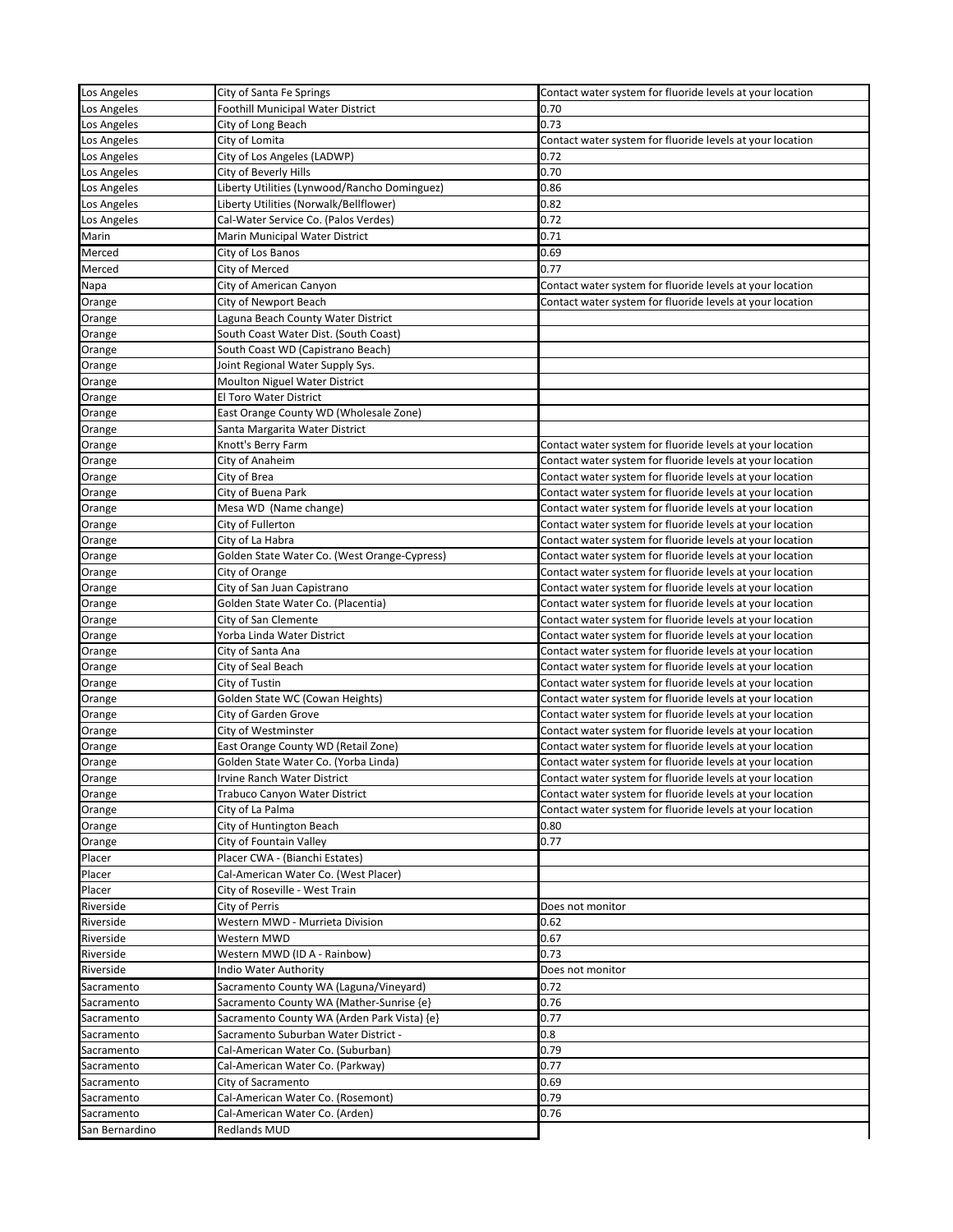| Los Angeles    | City of Santa Fe Springs                     | Contact water system for fluoride levels at your location |
|----------------|----------------------------------------------|-----------------------------------------------------------|
| Los Angeles    | Foothill Municipal Water District            | 0.70                                                      |
| Los Angeles    | City of Long Beach                           | 0.73                                                      |
| Los Angeles    | City of Lomita                               | Contact water system for fluoride levels at your location |
| Los Angeles    | City of Los Angeles (LADWP)                  | 0.72                                                      |
| Los Angeles    | City of Beverly Hills                        | 0.70                                                      |
| Los Angeles    | Liberty Utilities (Lynwood/Rancho Dominguez) | 0.86                                                      |
| Los Angeles    | Liberty Utilities (Norwalk/Bellflower)       | 0.82                                                      |
| Los Angeles    | Cal-Water Service Co. (Palos Verdes)         | 0.72                                                      |
| Marin          | Marin Municipal Water District               | 0.71                                                      |
| Merced         | City of Los Banos                            | 0.69                                                      |
| Merced         | City of Merced                               | 0.77                                                      |
| Napa           | City of American Canyon                      | Contact water system for fluoride levels at your location |
| Orange         | City of Newport Beach                        | Contact water system for fluoride levels at your location |
| Orange         | Laguna Beach County Water District           |                                                           |
| Orange         | South Coast Water Dist. (South Coast)        |                                                           |
| Orange         | South Coast WD (Capistrano Beach)            |                                                           |
| Orange         | Joint Regional Water Supply Sys.             |                                                           |
| Orange         | Moulton Niguel Water District                |                                                           |
| Orange         | El Toro Water District                       |                                                           |
| Orange         | East Orange County WD (Wholesale Zone)       |                                                           |
| Orange         | Santa Margarita Water District               |                                                           |
| Orange         | Knott's Berry Farm                           | Contact water system for fluoride levels at your location |
| Orange         | City of Anaheim                              | Contact water system for fluoride levels at your location |
| Orange         | City of Brea                                 | Contact water system for fluoride levels at your location |
| Orange         | City of Buena Park                           | Contact water system for fluoride levels at your location |
| Orange         | Mesa WD (Name change)                        | Contact water system for fluoride levels at your location |
| Orange         | City of Fullerton                            | Contact water system for fluoride levels at your location |
| Orange         | City of La Habra                             | Contact water system for fluoride levels at your location |
| Orange         | Golden State Water Co. (West Orange-Cypress) | Contact water system for fluoride levels at your location |
| Orange         | City of Orange                               | Contact water system for fluoride levels at your location |
| Orange         | City of San Juan Capistrano                  | Contact water system for fluoride levels at your location |
| Orange         | Golden State Water Co. (Placentia)           | Contact water system for fluoride levels at your location |
| Orange         | City of San Clemente                         | Contact water system for fluoride levels at your location |
| Orange         | Yorba Linda Water District                   | Contact water system for fluoride levels at your location |
| Orange         | City of Santa Ana                            | Contact water system for fluoride levels at your location |
| Orange         | City of Seal Beach                           | Contact water system for fluoride levels at your location |
| Orange         | City of Tustin                               | Contact water system for fluoride levels at your location |
| Orange         | Golden State WC (Cowan Heights)              | Contact water system for fluoride levels at your location |
| Orange         | City of Garden Grove                         | Contact water system for fluoride levels at your location |
| Orange         | City of Westminster                          | Contact water system for fluoride levels at your location |
| Orange         | East Orange County WD (Retail Zone)          | Contact water system for fluoride levels at your location |
| Orange         | Golden State Water Co. (Yorba Linda)         | Contact water system for fluoride levels at your location |
| Orange         | Irvine Ranch Water District                  | Contact water system for fluoride levels at your location |
| Orange         | Trabuco Canyon Water District                | Contact water system for fluoride levels at your location |
| Orange         | City of La Palma                             | Contact water system for fluoride levels at your location |
| Orange         | City of Huntington Beach                     | 0.80                                                      |
| Orange         | City of Fountain Valley                      | 0.77                                                      |
| Placer         | Placer CWA - (Bianchi Estates)               |                                                           |
| Placer         | Cal-American Water Co. (West Placer)         |                                                           |
| Placer         | City of Roseville - West Train               |                                                           |
| Riverside      | City of Perris                               | Does not monitor                                          |
| Riverside      | Western MWD - Murrieta Division              | 0.62                                                      |
| Riverside      | Western MWD                                  | 0.67                                                      |
| Riverside      | Western MWD (ID A - Rainbow)                 | 0.73                                                      |
| Riverside      | Indio Water Authority                        | Does not monitor                                          |
| Sacramento     | Sacramento County WA (Laguna/Vineyard)       | 0.72                                                      |
| Sacramento     | Sacramento County WA (Mather-Sunrise {e}     | 0.76                                                      |
| Sacramento     | Sacramento County WA (Arden Park Vista) {e}  | 0.77                                                      |
| Sacramento     | Sacramento Suburban Water District -         | 0.8                                                       |
| Sacramento     | Cal-American Water Co. (Suburban)            | 0.79                                                      |
| Sacramento     | Cal-American Water Co. (Parkway)             | 0.77                                                      |
| Sacramento     | City of Sacramento                           | 0.69                                                      |
| Sacramento     | Cal-American Water Co. (Rosemont)            | 0.79                                                      |
| Sacramento     | Cal-American Water Co. (Arden)               | 0.76                                                      |
| San Bernardino | Redlands MUD                                 |                                                           |
|                |                                              |                                                           |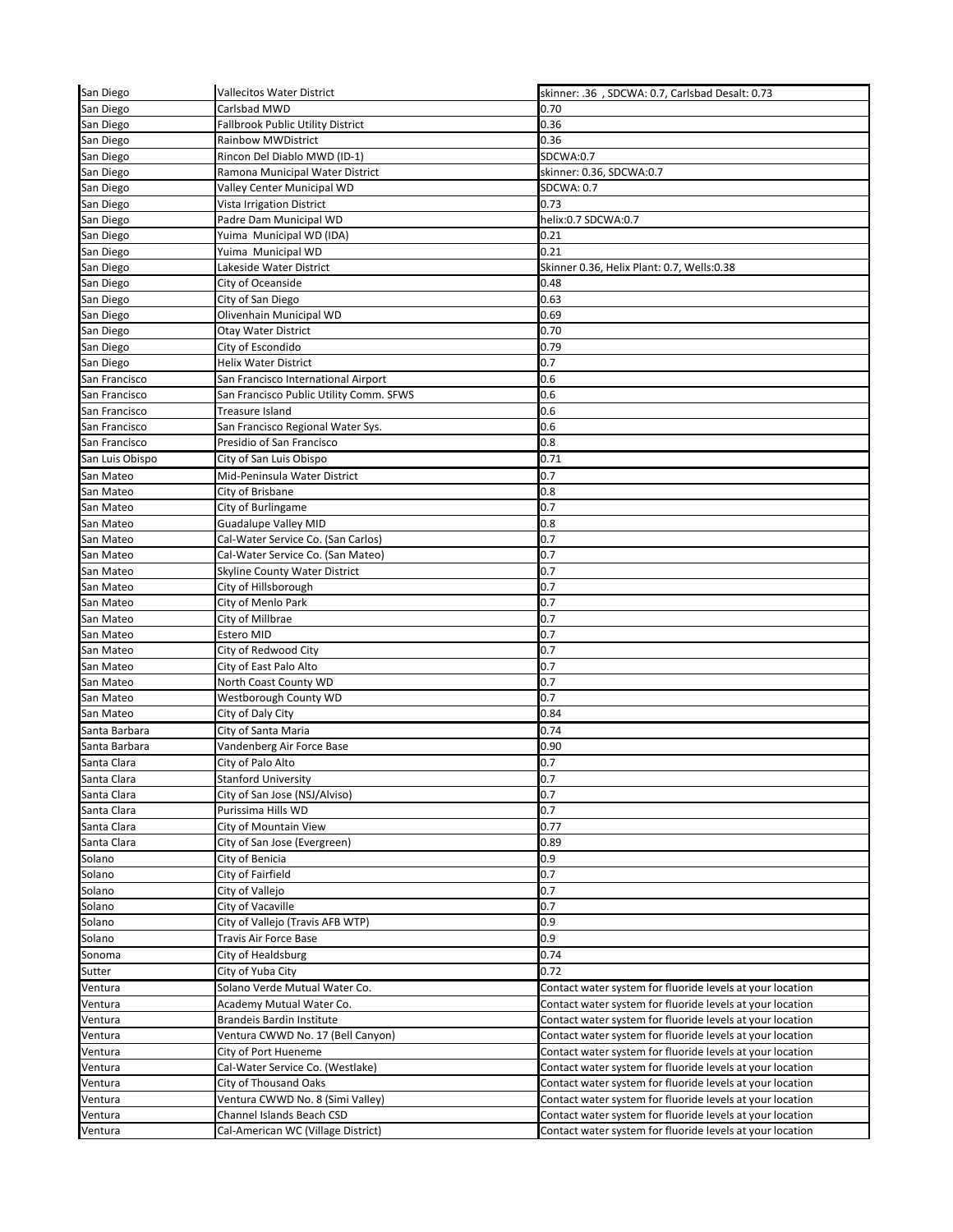| San Diego       | <b>Vallecitos Water District</b>        | skinner: .36 , SDCWA: 0.7, Carlsbad Desalt: 0.73          |
|-----------------|-----------------------------------------|-----------------------------------------------------------|
| San Diego       | Carlsbad MWD                            | 0.70                                                      |
| San Diego       | Fallbrook Public Utility District       | 0.36                                                      |
| San Diego       | <b>Rainbow MWDistrict</b>               | 0.36                                                      |
| San Diego       | Rincon Del Diablo MWD (ID-1)            | SDCWA:0.7                                                 |
| San Diego       | Ramona Municipal Water District         | skinner: 0.36, SDCWA:0.7                                  |
| San Diego       | Valley Center Municipal WD              | <b>SDCWA: 0.7</b>                                         |
| San Diego       | Vista Irrigation District               | 0.73                                                      |
| San Diego       | Padre Dam Municipal WD                  | helix:0.7 SDCWA:0.7                                       |
| San Diego       | Yuima Municipal WD (IDA)                | 0.21                                                      |
| San Diego       | Yuima Municipal WD                      | 0.21                                                      |
| San Diego       | Lakeside Water District                 | Skinner 0.36, Helix Plant: 0.7, Wells:0.38                |
| San Diego       | City of Oceanside                       | 0.48                                                      |
| San Diego       | City of San Diego                       | 0.63                                                      |
| San Diego       | Olivenhain Municipal WD                 | 0.69                                                      |
| San Diego       | Otay Water District                     | 0.70                                                      |
| San Diego       | City of Escondido                       | 0.79                                                      |
| San Diego       | Helix Water District                    | 0.7                                                       |
| San Francisco   | San Francisco International Airport     | 0.6                                                       |
| San Francisco   | San Francisco Public Utility Comm. SFWS | 0.6                                                       |
| San Francisco   | Treasure Island                         | 0.6                                                       |
| San Francisco   | San Francisco Regional Water Sys.       | 0.6                                                       |
| San Francisco   | Presidio of San Francisco               | 0.8                                                       |
| San Luis Obispo | City of San Luis Obispo                 | 0.71                                                      |
|                 |                                         |                                                           |
| San Mateo       | Mid-Peninsula Water District            | 0.7                                                       |
| San Mateo       | City of Brisbane                        | 0.8                                                       |
| San Mateo       | City of Burlingame                      | 0.7                                                       |
| San Mateo       | <b>Guadalupe Valley MID</b>             | 0.8                                                       |
| San Mateo       | Cal-Water Service Co. (San Carlos)      | 0.7                                                       |
| San Mateo       | Cal-Water Service Co. (San Mateo)       | 0.7                                                       |
| San Mateo       | Skyline County Water District           | 0.7                                                       |
| San Mateo       | City of Hillsborough                    | 0.7                                                       |
| San Mateo       | City of Menlo Park                      | 0.7                                                       |
| San Mateo       | City of Millbrae                        | 0.7                                                       |
| San Mateo       | Estero MID                              | 0.7                                                       |
| San Mateo       | City of Redwood City                    | 0.7                                                       |
| San Mateo       | City of East Palo Alto                  | 0.7                                                       |
| San Mateo       | North Coast County WD                   | 0.7                                                       |
| San Mateo       | Westborough County WD                   | 0.7                                                       |
| San Mateo       | City of Daly City                       | 0.84                                                      |
| Santa Barbara   | City of Santa Maria                     | 0.74                                                      |
| Santa Barbara   | Vandenberg Air Force Base               | 0.90                                                      |
| Santa Clara     | City of Palo Alto                       | 0.7                                                       |
| Santa Clara     | Stanford University                     | 0.7                                                       |
| Santa Clara     | City of San Jose (NSJ/Alviso)           | 0.7                                                       |
| Santa Clara     | Purissima Hills WD                      | 0.7                                                       |
| Santa Clara     | City of Mountain View                   | 0.77                                                      |
| Santa Clara     | City of San Jose (Evergreen)            | 0.89                                                      |
| Solano          | City of Benicia                         | 0.9                                                       |
| Solano          | City of Fairfield                       | 0.7                                                       |
| Solano          | City of Vallejo                         | 0.7                                                       |
| Solano          | City of Vacaville                       | 0.7                                                       |
| Solano          | City of Vallejo (Travis AFB WTP)        | 0.9                                                       |
| Solano          | Travis Air Force Base                   | 0.9                                                       |
| Sonoma          | City of Healdsburg                      | 0.74                                                      |
| Sutter          | City of Yuba City                       | 0.72                                                      |
| Ventura         | Solano Verde Mutual Water Co.           | Contact water system for fluoride levels at your location |
| Ventura         | Academy Mutual Water Co.                | Contact water system for fluoride levels at your location |
| Ventura         | Brandeis Bardin Institute               | Contact water system for fluoride levels at your location |
| Ventura         | Ventura CWWD No. 17 (Bell Canyon)       | Contact water system for fluoride levels at your location |
| Ventura         | City of Port Hueneme                    | Contact water system for fluoride levels at your location |
| Ventura         | Cal-Water Service Co. (Westlake)        | Contact water system for fluoride levels at your location |
| Ventura         | City of Thousand Oaks                   | Contact water system for fluoride levels at your location |
| Ventura         | Ventura CWWD No. 8 (Simi Valley)        | Contact water system for fluoride levels at your location |
| Ventura         | Channel Islands Beach CSD               | Contact water system for fluoride levels at your location |
|                 |                                         |                                                           |
| Ventura         | Cal-American WC (Village District)      | Contact water system for fluoride levels at your location |